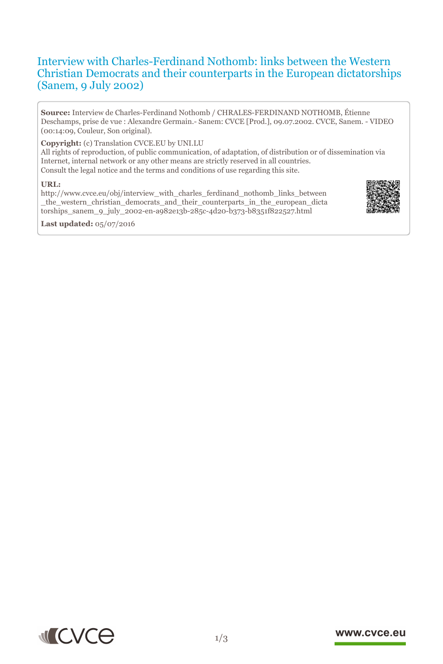# Interview with Charles-Ferdinand Nothomb: links between the Western Christian Democrats and their counterparts in the European dictatorships (Sanem, 9 July 2002)

**Source:** Interview de Charles-Ferdinand Nothomb / CHRALES-FERDINAND NOTHOMB, Étienne Deschamps, prise de vue : Alexandre Germain.- Sanem: CVCE [Prod.], 09.07.2002. CVCE, Sanem. - VIDEO (00:14:09, Couleur, Son original).

## **Copyright:** (c) Translation CVCE.EU by UNI.LU

All rights of reproduction, of public communication, of adaptation, of distribution or of dissemination via Internet, internal network or any other means are strictly reserved in all countries. Consult the legal notice and the terms and conditions of use regarding this site.

#### **URL:**

http://www.cvce.eu/obj/interview\_with\_charles\_ferdinand\_nothomb\_links\_between \_th[e\\_western\\_christian\\_democrats\\_and\\_their\\_counterparts\\_in\\_the\\_european\\_dicta](http://www.cvce.eu/obj/interview_with_charles_ferdinand_nothomb_links_between_the_western_christian_democrats_and_their_counterparts_in_the_european_dictatorships_sanem_9_july_2002-en-a982e13b-285c-4d20-b373-b8351f822527.html) tors[hips\\_sanem\\_9\\_july\\_2002-en-a982e13b-285c-4d20-b373-b8351f822527.html](http://www.cvce.eu/obj/interview_with_charles_ferdinand_nothomb_links_between_the_western_christian_democrats_and_their_counterparts_in_the_european_dictatorships_sanem_9_july_2002-en-a982e13b-285c-4d20-b373-b8351f822527.html)







### www.cvce.eu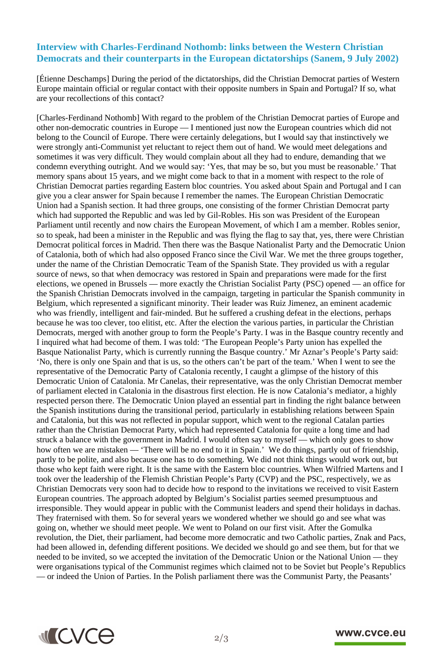# **Interview with Charles-Ferdinand Nothomb: links between the Western Christian Democrats and their counterparts in the European dictatorships (Sanem, 9 July 2002)**

[Étienne Deschamps] During the period of the dictatorships, did the Christian Democrat parties of Western Europe maintain official or regular contact with their opposite numbers in Spain and Portugal? If so, what are your recollections of this contact?

[Charles-Ferdinand Nothomb] With regard to the problem of the Christian Democrat parties of Europe and other non-democratic countries in Europe — I mentioned just now the European countries which did not belong to the Council of Europe. There were certainly delegations, but I would say that instinctively we were strongly anti-Communist yet reluctant to reject them out of hand. We would meet delegations and sometimes it was very difficult. They would complain about all they had to endure, demanding that we condemn everything outright. And we would say: 'Yes, that may be so, but you must be reasonable.' That memory spans about 15 years, and we might come back to that in a moment with respect to the role of Christian Democrat parties regarding Eastern bloc countries. You asked about Spain and Portugal and I can give you a clear answer for Spain because I remember the names. The European Christian Democratic Union had a Spanish section. It had three groups, one consisting of the former Christian Democrat party which had supported the Republic and was led by Gil-Robles. His son was President of the European Parliament until recently and now chairs the European Movement, of which I am a member. Robles senior, so to speak, had been a minister in the Republic and was flying the flag to say that, yes, there were Christian Democrat political forces in Madrid. Then there was the Basque Nationalist Party and the Democratic Union of Catalonia, both of which had also opposed Franco since the Civil War. We met the three groups together, under the name of the Christian Democratic Team of the Spanish State. They provided us with a regular source of news, so that when democracy was restored in Spain and preparations were made for the first elections, we opened in Brussels — more exactly the Christian Socialist Party (PSC) opened — an office for the Spanish Christian Democrats involved in the campaign, targeting in particular the Spanish community in Belgium, which represented a significant minority. Their leader was Ruiz Jimenez, an eminent academic who was friendly, intelligent and fair-minded. But he suffered a crushing defeat in the elections, perhaps because he was too clever, too elitist, etc. After the election the various parties, in particular the Christian Democrats, merged with another group to form the People's Party. I was in the Basque country recently and I inquired what had become of them. I was told: 'The European People's Party union has expelled the Basque Nationalist Party, which is currently running the Basque country.' Mr Aznar's People's Party said: 'No, there is only one Spain and that is us, so the others can't be part of the team.' When I went to see the representative of the Democratic Party of Catalonia recently, I caught a glimpse of the history of this Democratic Union of Catalonia. Mr Canelas, their representative, was the only Christian Democrat member of parliament elected in Catalonia in the disastrous first election. He is now Catalonia's mediator, a highly respected person there. The Democratic Union played an essential part in finding the right balance between the Spanish institutions during the transitional period, particularly in establishing relations between Spain and Catalonia, but this was not reflected in popular support, which went to the regional Catalan parties rather than the Christian Democrat Party, which had represented Catalonia for quite a long time and had struck a balance with the government in Madrid. I would often say to myself — which only goes to show how often we are mistaken — 'There will be no end to it in Spain.' We do things, partly out of friendship, partly to be polite, and also because one has to do something. We did not think things would work out, but those who kept faith were right. It is the same with the Eastern bloc countries. When Wilfried Martens and I took over the leadership of the Flemish Christian People's Party (CVP) and the PSC, respectively, we as Christian Democrats very soon had to decide how to respond to the invitations we received to visit Eastern European countries. The approach adopted by Belgium's Socialist parties seemed presumptuous and irresponsible. They would appear in public with the Communist leaders and spend their holidays in dachas. They fraternised with them. So for several years we wondered whether we should go and see what was going on, whether we should meet people. We went to Poland on our first visit. After the Gomulka revolution, the Diet, their parliament, had become more democratic and two Catholic parties, Znak and Pacs, had been allowed in, defending different positions. We decided we should go and see them, but for that we needed to be invited, so we accepted the invitation of the Democratic Union or the National Union — they were organisations typical of the Communist regimes which claimed not to be Soviet but People's Republics — or indeed the Union of Parties. In the Polish parliament there was the Communist Party, the Peasants'